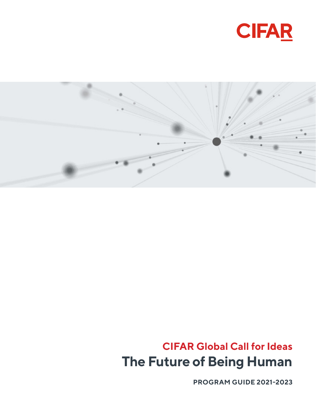



### **CIFAR Global Call for Ideas The Future of Being Human**

**PROGRAM GUIDE 2021-2023**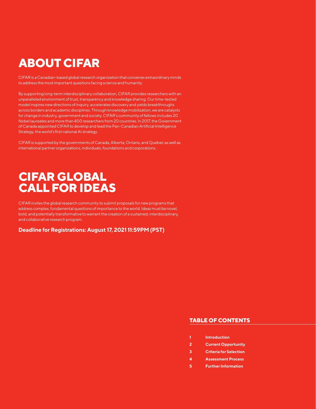CIFAR is a Canadian-based global research organization that convenes extraordinary minds to address the most important questions facing science and humanity.

By supporting long-term interdisciplinary collaboration, CIFAR provides researchers with an unparalleled environment of trust, transparency and knowledge sharing. Our time-tested model inspires new directions of inquiry, accelerates discovery and yields breakthroughs across borders and academic disciplines. Through knowledge mobilization, we are catalysts for change in industry, government and society. CIFAR's community of fellows includes 20 Nobel laureates and more than 400 researchers from 20 countries. In 2017, the Government of Canada appointed CIFAR to develop and lead the Pan-Canadian Artificial Intelligence Strategy, the world's first national AI strategy.

CIFAR is supported by the governments of Canada, Alberta, Ontario, and Quebec as well as international partner organizations, individuals, foundations and corporations.

### **CIFAR GLOBAL CALL FOR IDEAS**

CIFAR invites the global research community to submit proposals for new programs that address complex, fundamental questions of importance to the world. Ideas must be novel, bold, and potentially transformative to warrant the creation of a sustained, interdisciplinary, and collaborative research program.

**Deadline for Registrations: August 17, 2021 11:59PM (PST)**

#### **TABLE OF CONTENTS**

- **1 Introduction**
- **2 Current Opportunity**
- **3 Criteria for Selection**
- **4 Assessment Process**
- **5 Further Information**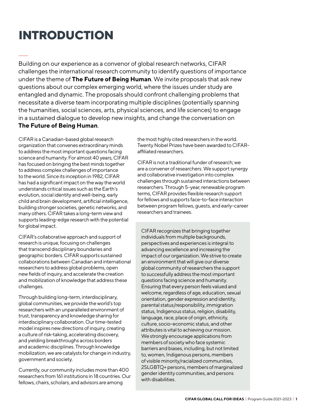### **INTRODUCTION**

Building on our experience as a convenor of global research networks, CIFAR challenges the international research community to identify questions of importance under the theme of **The Future of Being Human**. We invite proposals that ask new questions about our complex emerging world, where the issues under study are entangled and dynamic. The proposals should confront challenging problems that necessitate a diverse team incorporating multiple disciplines (potentially spanning the humanities, social sciences, arts, physical sciences, and life sciences) to engage in a sustained dialogue to develop new insights, and change the conversation on **The Future of Being Human**.

CIFAR is a Canadian-based global research organization that convenes extraordinary minds to address the most important questions facing science and humanity. For almost 40 years, CIFAR has focused on bringing the best minds together to address complex challenges of importance to the world. Since its inception in 1982, CIFAR has had a significant impact on the way the world understands critical issues such as the Earth's evolution, social identity and well-being, early child and brain development, artificial intelligence, building stronger societies, genetic networks, and many others. CIFAR takes a long-term view and supports leading-edge research with the potential for global impact.

CIFAR's collaborative approach and support of research is unique, focusing on challenges that transcend disciplinary boundaries and geographic borders. CIFAR supports sustained collaborations between Canadian and international researchers to address global problems, open new fields of inquiry, and accelerate the creation and mobilization of knowledge that address these challenges.

Through building long-term, interdisciplinary, global communities, we provide the world's top researchers with an unparalleled environment of trust, transparency and knowledge sharing for interdisciplinary collaboration. Our time-tested model inspires new directions of inquiry, creating a culture of risk-taking, accelerating discovery, and yielding breakthroughs across borders and academic disciplines. Through knowledge mobilization, we are catalysts for change in industry, government and society.

Currently, our community includes more than 400 researchers from 161 institutions in 18 countries. Our fellows, chairs, scholars, and advisors are among

the most highly cited researchers in the world. Twenty Nobel Prizes have been awarded to CIFARaffiliated researchers.

CIFAR is not a traditional funder of research; we are a convener of researchers. We support synergy and collaborative investigation into complex challenges through sustained interactions between researchers. Through 5-year, renewable program terms, CIFAR provides flexible research support for fellows and supports face-to-face interaction between program fellows, guests, and early-career researchers and trainees.

CIFAR recognizes that bringing together individuals from multiple backgrounds, perspectives and experiences is integral to advancing excellence and increasing the impact of our organization. We strive to create an environment that will give our diverse global community of researchers the support to successfully address the most important questions facing science and humanity. Ensuring that every person feels valued and welcome, regardless of age, education, sexual orientation, gender expression and identity, parental status/responsibility, immigration status, Indigenous status, religion, disability, language, race, place of origin, ethnicity, culture, socio-economic status, and other attributes is vital to achieving our mission. We strongly encourage applications from members of society who face systemic barriers and biases, including, but not limited to, women, Indigenous persons, members of visible minority/racialized communities, 2SLGBTQ+ persons, members of marginalized gender identity communities, and persons with disabilities.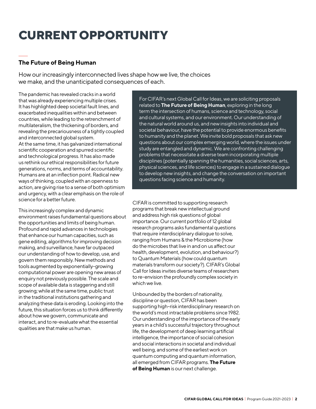### **CURRENT OPPORTUNITY**

### **The Future of Being Human**

How our increasingly interconnected lives shape how we live, the choices we make, and the unanticipated consequences of each.

The pandemic has revealed cracks in a world that was already experiencing multiple crises. It has highlighted deep societal fault lines, and exacerbated inequalities within and between countries, while leading to the retrenchment of multilateralism, the thickening of borders, and revealing the precariousness of a tightly coupled and interconnected global system. At the same time, it has galvanized international scientific cooperation and spurred scientific and technological progress. It has also made us rethink our ethical responsibilities for future generations, norms, and terms of accountability. Humans are at an inflection point. Radical new ways of thinking, coupled with an openness to action, are giving rise to a sense of both optimism and urgency, with a clear emphasis on the role of science for a better future.

This increasingly complex and dynamic environment raises fundamental questions about the opportunities and limits of being human. Profound and rapid advances in technologies that enhance our human capacities, such as gene editing, algorithms for improving decision making, and surveillance, have far outpaced our understanding of how to develop, use, and govern them responsibly. New methods and tools augmented by exponentially-growing computational power are opening new areas of enquiry not previously possible. The scale and scope of available data is staggering and still growing; while at the same time, public trust in the traditional institutions gathering and analyzing these data is eroding. Looking into the future, this situation forces us to think differently about how we govern, communicate and interact, and to re-evaluate what the essential qualities are that make us human.

For CIFAR's next Global Call for Ideas, we are soliciting proposals related to **The Future of Being Human**, exploring in the long term the intersection of humans, science and technology, social and cultural systems, and our environment. Our understanding of the natural world around us, and new insights into individual and societal behaviour, have the potential to provide enormous benefits to humanity and the planet. We invite bold proposals that ask new questions about our complex emerging world, where the issues under study are entangled and dynamic. We are confronting challenging problems that necessitate a diverse team incorporating multiple disciplines (potentially spanning the humanities, social sciences, arts, physical sciences, and life sciences) to engage in a sustained dialogue to develop new insights, and change the conversation on important questions facing science and humanity.

CIFAR is committed to supporting research programs that break new intellectual ground and address high risk questions of global importance. Our current portfolio of 12 global research programs asks fundamental questions that require interdisciplinary dialogue to solve, ranging from Humans & the Microbiome (how do the microbes that live in and on us affect our health, development, evolution, and behaviour?) to Quantum Materials (how could quantum materials transform our society?). CIFAR's Global Call for Ideas invites diverse teams of researchers to re-envision the profoundly complex society in which we live.

Unbounded by the borders of nationality, discipline or question, CIFAR has been supporting high-risk interdisciplinary research on the world's most intractable problems since 1982. Our understanding of the importance of the early years in a child's successful trajectory throughout life, the development of deep learning artificial intelligence, the importance of social cohesion and social interactions in societal and individual well being, and some of the earliest work on quantum computing and quantum information, all emerged from CIFAR programs. **The Future of Being Human** is our next challenge.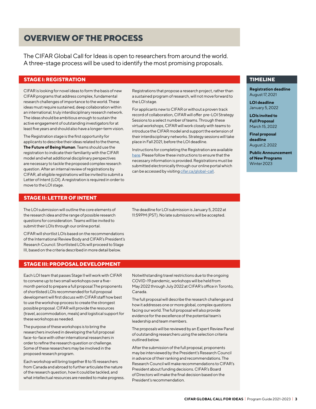### **OVERVIEW OF THE PROCESS**

The CIFAR Global Call for Ideas is open to researchers from around the world. A three-stage process will be used to identify the most promising proposals.

#### **STAGE I: REGISTRATION**

CIFAR is looking for novel ideas to form the basis of new CIFAR programs that address complex, fundamental research challenges of importance to the world. These ideas must require sustained, deep collaboration within an international, truly interdisciplinary research network. The ideas should be ambitious enough to sustain the active engagement of outstanding investigators for at least five years and should also have a longer-term vision.

The Registration stage is the first opportunity for applicants to describe their ideas related to the theme, **The Future of Being Human**. Teams should use the registration to indicate their familiarity with the CIFAR model and what additional disciplinary perspectives are necessary to tackle the proposed complex research question. After an internal review of registrations by CIFAR, all eligible registrations will be invited to submit a Letter of Intent (LOI). A registration is required in order to move to the LOI stage.

Registrations that propose a research project, rather than a sustained program of research, will not move forward to the LOI stage.

For applicants new to CIFAR or without a proven track record of collaboration, CIFAR will offer pre-LOI Strategy Sessions to a select number of teams. Through these virtual workshops, CIFAR will work closely with teams to introduce the CIFAR model and support the extension of their interdisciplinary networks. Strategy sessions will take place in Fall 2021, before the LOI deadline.

Instructions for completing the Registration are available here. Please follow these instructions to ensure that the necessary information is provided. Registrations must be submitted electronically through our online portal which can be accessed by visiting cifar.ca/global-call.

The deadline for LOI submission is January 5, 2022 at 11:59PM (PST). No late submissions will be accepted.

#### **TIMELINE**

**Registration deadline** August 17, 2021

**LOI deadline** January 5, 2022

**LOIs invited to Full Proposal** March 15, 2022

**Final proposal deadline** August 2, 2022

**Public Announcement of New Programs** Winter 2023

#### **STAGE II: LETTER OF INTENT**

The LOI submission will outline the core elements of the research idea and the range of possible research questions for consideration. Teams will be invited to submit their LOIs through our online portal.

CIFAR will shortlist LOIs based on the recommendations of the International Review Body and CIFAR's President's Research Council. Shortlisted LOIs will proceed to Stage III, based on the criteria described in more detail below.

#### **STAGE III: PROPOSAL DEVELOPMENT**

Each LOI team that passes Stage II will work with CIFAR to convene up to two small workshops over a fivemonth period to prepare a full proposal.The proponents of shortlisted LOIs recommended for full proposal development will first discuss with CIFAR staff how best to use the workshop process to create the strongest possible proposal. CIFAR will provide the resources (travel, accommodation, meals) and logistical support for these workshops as needed.

The purpose of these workshops is to bring the researchers involved in developing the full proposal face-to-face with other international researchers in order to refine the research question or challenge. Some of these researchers may be involved in the proposed research program.

Each workshop will bring together 8 to 15 researchers from Canada and abroad to further articulate the nature of the research question, how it could be tackled, and what intellectual resources are needed to make progress. Notwithstanding travel restrictions due to the ongoing

COVID-19 pandemic, workshops will be held from May 2022 through July 2022 at CIFAR's office in Toronto, Canada.

The full proposal will describe the research challenge and how it addresses one or more global, complex questions facing our world. The full proposal will also provide evidence for the excellence of the potential team's leadership and team members.

The proposals will be reviewed by an Expert Review Panel of outstanding researchers using the selection criteria outlined below.

After the submission of the full proposal, proponents may be interviewed by the President's Research Council in advance of their ranking and recommendations. The Research Council will make recommendations to CIFAR's President about funding decisions. CIFAR's Board of Directors will make the final decision based on the President's recommendation.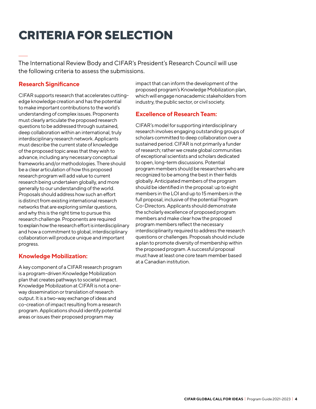### **CRITERIA FOR SELECTION**

The International Review Body and CIFAR's President's Research Council will use the following criteria to assess the submissions.

### **Research Significance**

CIFAR supports research that accelerates cuttingedge knowledge creation and has the potential to make important contributions to the world's understanding of complex issues. Proponents must clearly articulate the proposed research questions to be addressed through sustained, deep collaboration within an international, truly interdisciplinary research network. Applicants must describe the current state of knowledge of the proposed topic areas that they wish to advance, including any necessary conceptual frameworks and/or methodologies. There should be a clear articulation of how this proposed research program will add value to current research being undertaken globally, and more generally to our understanding of the world. Proposals should address how such an effort is distinct from existing international research networks that are exploring similar questions, and why this is the right time to pursue this research challenge. Proponents are required to explain how the research effort is interdisciplinary and how a commitment to global, interdisciplinary collaboration will produce unique and important progress.

#### **Knowledge Mobilization:**

A key component of a CIFAR research program is a program-driven Knowledge Mobilization plan that creates pathways to societal impact. Knowledge Mobilization at CIFAR is not a oneway dissemination or translation of research output. It is a two-way exchange of ideas and co-creation of impact resulting from a research program. Applications should identify potential areas or issues their proposed program may

impact that can inform the development of the proposed program's Knowledge Mobilization plan, which will engage nonacademic stakeholders from industry, the public sector, or civil society.

### **Excellence of Research Team:**

CIFAR's model for supporting interdisciplinary research involves engaging outstanding groups of scholars committed to deep collaboration over a sustained period. CIFAR is not primarily a funder of research; rather we create global communities of exceptional scientists and scholars dedicated to open, long-term discussions. Potential program members should be researchers who are recognized to be among the best in their fields globally. Anticipated members of the program should be identified in the proposal: up to eight members in the LOI and up to 15 members in the full proposal, inclusive of the potential Program Co-Directors. Applicants should demonstrate the scholarly excellence of proposed program members and make clear how the proposed program members reflect the necessary interdisciplinarity required to address the research questions or challenges. Proposals should include a plan to promote diversity of membership within the proposed program. A successful proposal must have at least one core team member based at a Canadian institution.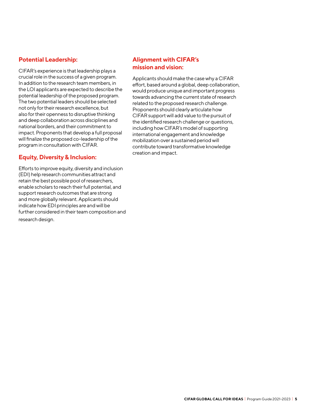### **Potential Leadership:**

CIFAR's experience is that leadership plays a crucial role in the success of a given program. In addition to the research team members, in the LOI applicants are expected to describe the potential leadership of the proposed program. The two potential leaders should be selected not only for their research excellence, but also for their openness to disruptive thinking and deep collaboration across disciplines and national borders, and their commitment to impact. Proponents that develop a full proposal will finalize the proposed co-leadership of the program in consultation with CIFAR.

### **Equity, Diversity & Inclusion:**

Efforts to improve equity, diversity and inclusion (EDI) help research communities attract and retain the best possible pool of researchers, enable scholars to reach their full potential, and support research outcomes that are strong and more globally relevant. Applicants should indicate how EDI principles are and will be further considered in their team composition and research design.

### **Alignment with CIFAR's mission and vision:**

Applicants should make the case why a CIFAR effort, based around a global, deep collaboration, would produce unique and important progress towards advancing the current state of research related to the proposed research challenge. Proponents should clearly articulate how CIFAR support will add value to the pursuit of the identified research challenge or questions, including how CIFAR's model of supporting international engagement and knowledge mobilization over a sustained period will contribute toward transformative knowledge creation and impact.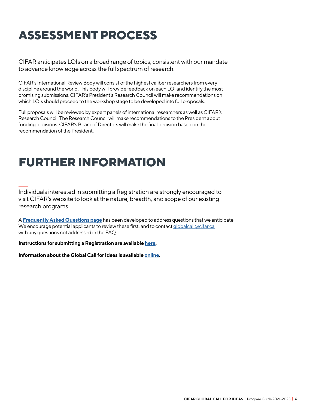## **ASSESSMENT PROCESS**

CIFAR anticipates LOIs on a broad range of topics, consistent with our mandate to advance knowledge across the full spectrum of research.

CIFAR's International Review Body will consist of the highest caliber researchers from every discipline around the world. This body will provide feedback on each LOI and identify the most promising submissions. CIFAR's President's Research Council will make recommendations on which LOIs should proceed to the workshop stage to be developed into full proposals.

Full proposals will be reviewed by expert panels of international researchers as well as CIFAR's Research Council. The Research Council will make recommendations to the President about funding decisions. CIFAR's Board of Directors will make the final decision based on the recommendation of the President.

### **FURTHER INFORMATION**

Individuals interested in submitting a Registration are strongly encouraged to visit CIFAR's website to look at the nature, breadth, and scope of our existing research programs.

A **Frequently Asked Questions page** has been developed to address questions that we anticipate. We encourage potential applicants to review these first, and to contact globalcall@cifar.ca with any questions not addressed in the FAQ.

**Instructions for submitting a Registration are available here.**

**Information about the Global Call for Ideas is available online.**